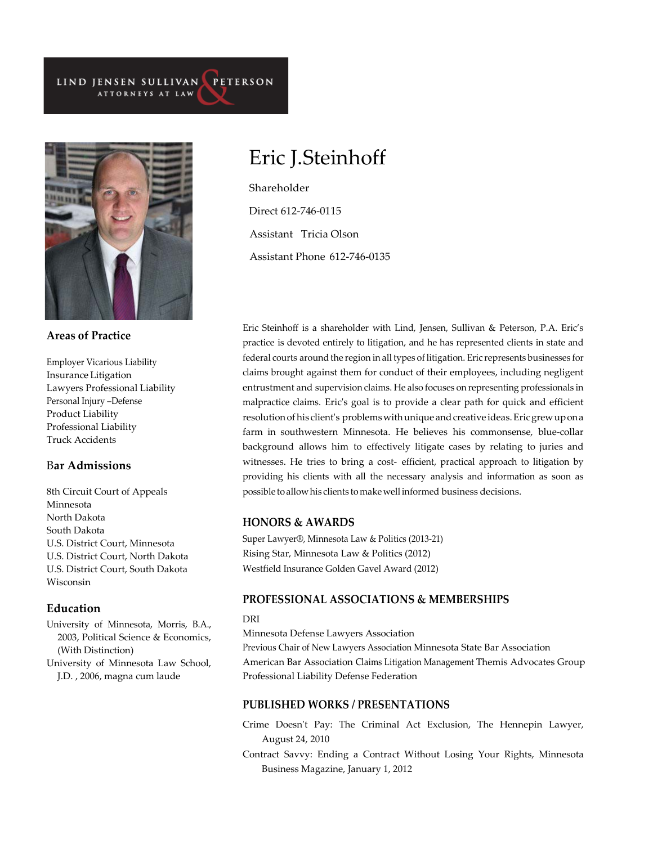#### LIND JENSEN SULLIVAN PETERSON ATTORNEYS AT LAW



**Areas of Practice**

Employer Vicarious Liability Insurance Litigation Lawyers Professional Liability Personal Injury –Defense Product Liability Professional Liability Truck Accidents

# B**ar Admissions**

8th Circuit Court of Appeals Minnesota North Dakota South Dakota U.S. District Court, Minnesota U.S. District Court, North Dakota U.S. District Court, South Dakota Wisconsin

### **Education**

University of Minnesota, Morris, B.A., 2003, Political Science & Economics, (With Distinction)

University of Minnesota Law School, J.D. , 2006, magna cum laude

# Eric J. Steinhoff

Shareholder Direct 612-746-0115 Assistant Tricia Olson Assistant Phone 612-746-0135

Eric Steinhoff is a shareholder with Lind, Jensen, Sullivan & Peterson, P.A. Eric's practice is devoted entirely to litigation, and he has represented clients in state and federal courts around the region in all types of litigation. Eric represents businesses for claims brought against them for conduct of their employees, including negligent entrustment and supervision claims. He also focuses on representing professionals in malpractice claims. Eric's goal is to provide a clear path for quick and efficient resolution of his client's problems with unique and creative ideas. Eric grew up on a farm in southwestern Minnesota. He believes his commonsense, blue-collar background allows him to effectively litigate cases by relating to juries and witnesses. He tries to bring a cost- efficient, practical approach to litigation by providing his clients with all the necessary analysis and information as soon as possible to allowhis clients tomakewell informed business decisions.

## **HONORS & AWARDS**

Super Lawyer®, Minnesota Law & Politics (2013-21) Rising Star, Minnesota Law & Politics (2012) Westfield Insurance Golden Gavel Award (2012)

# **PROFESSIONAL ASSOCIATIONS & MEMBERSHIPS**

#### DRI

Minnesota Defense Lawyers Association

Previous Chair of New Lawyers Association Minnesota State Bar Association American Bar Association Claims Litigation Management Themis Advocates Group Professional Liability Defense Federation

# **PUBLISHED WORKS / PRESENTATIONS**

Crime Doesn't Pay: The Criminal Act Exclusion, The Hennepin Lawyer, August 24, 2010

Contract Savvy: Ending a Contract Without Losing Your Rights, Minnesota Business Magazine, January 1, 2012